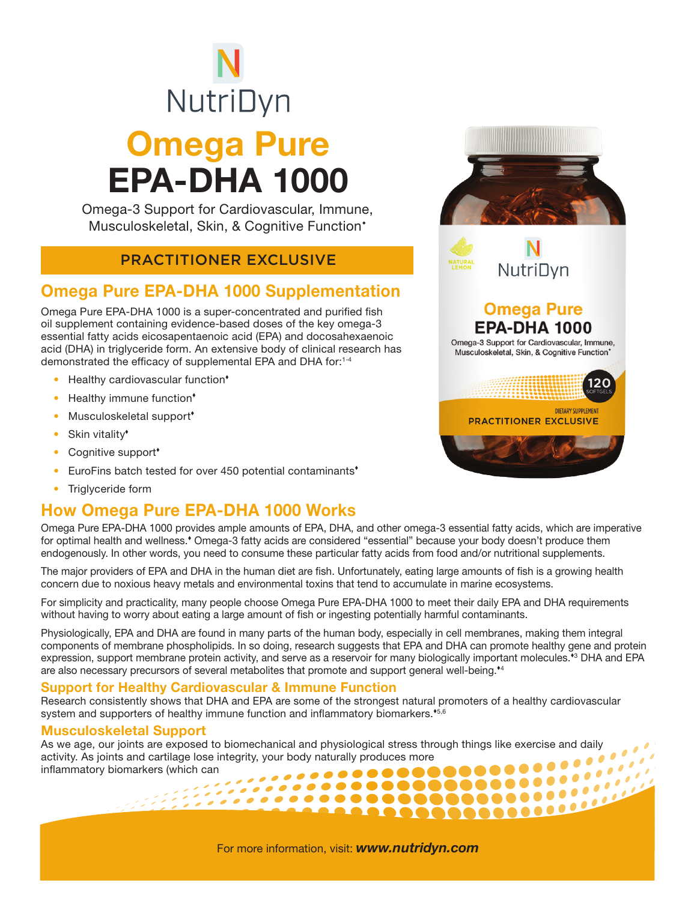# NutriDyn Omega Pure EPA-DHA 1000

Omega-3 Support for Cardiovascular, Immune, Musculoskeletal, Skin, & Cognitive Function\*

### PRACTITIONER EXCLUSIVE

# Omega Pure EPA-DHA 1000 Supplementation

Omega Pure EPA-DHA 1000 is a super-concentrated and purified fish oil supplement containing evidence-based doses of the key omega-3 essential fatty acids eicosapentaenoic acid (EPA) and docosahexaenoic acid (DHA) in triglyceride form. An extensive body of clinical research has demonstrated the efficacy of supplemental EPA and DHA for:1-4

- Healthy cardiovascular function<sup>\*</sup>
- Healthy immune function<sup>\*</sup>
- Musculoskeletal support<sup>\*</sup>
- Skin vitality<sup>\*</sup>
- Cognitive support<sup>\*</sup>
- EuroFins batch tested for over 450 potential contaminants<sup>\*</sup>
- Triglyceride form

## How Omega Pure EPA-DHA 1000 Works

Omega Pure EPA-DHA 1000 provides ample amounts of EPA, DHA, and other omega-3 essential fatty acids, which are imperative for optimal health and wellness.<sup>\*</sup> Omega-3 fatty acids are considered "essential" because your body doesn't produce them endogenously. In other words, you need to consume these particular fatty acids from food and/or nutritional supplements.

The major providers of EPA and DHA in the human diet are fish. Unfortunately, eating large amounts of fish is a growing health concern due to noxious heavy metals and environmental toxins that tend to accumulate in marine ecosystems.

For simplicity and practicality, many people choose Omega Pure EPA-DHA 1000 to meet their daily EPA and DHA requirements without having to worry about eating a large amount of fish or ingesting potentially harmful contaminants.

Physiologically, EPA and DHA are found in many parts of the human body, especially in cell membranes, making them integral components of membrane phospholipids. In so doing, research suggests that EPA and DHA can promote healthy gene and protein expression, support membrane protein activity, and serve as a reservoir for many biologically important molecules.\*<sup>3</sup> DHA and EPA are also necessary precursors of several metabolites that promote and support general well-being.<sup>44</sup>

### Support for Healthy Cardiovascular & Immune Function

Research consistently shows that DHA and EPA are some of the strongest natural promoters of a healthy cardiovascular system and supporters of healthy immune function and inflammatory biomarkers.<sup>\*5,6</sup>

#### Musculoskeletal Support

As we age, our joints are exposed to biomechanical and physiological stress through things like exercise and daily activity. As joints and cartilage lose integrity, your body naturally produces more inflammatory biomarkers (which can . . . . . . . . . . . . 

# NutriDvn **Omega Pure**

**EPA-DHA 1000** Omega-3 Support for Cardiovascular, Immune, Musculoskeletal, Skin, & Cognitive Function'



For more information, visit: *www.nutridyn.com*

 ${1\over 2} {1\over 2} {1\over 2} {1\over 2} {1\over 2} {1\over 2} {1\over 2} {1\over 2} {1\over 2} {1\over 2} {1\over 2} {1\over 2} {1\over 2} {1\over 2} {1\over 2} {1\over 2} {1\over 2} {1\over 2} {1\over 2} {1\over 2} {1\over 2} {1\over 2} {1\over 2} {1\over 2} {1\over 2} {1\over 2} {1\over 2} {1\over 2} {1\over 2} {1\over 2} {1\over 2} {1\$